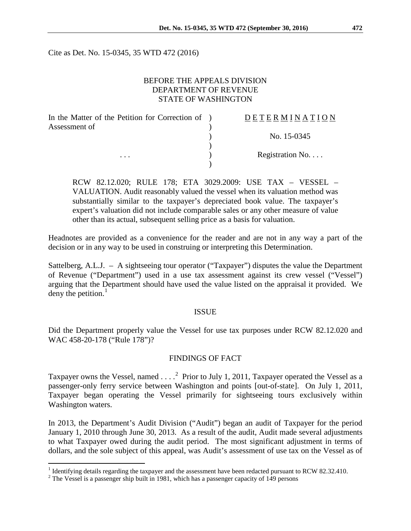Cite as Det. No. 15-0345, 35 WTD 472 (2016)

## BEFORE THE APPEALS DIVISION DEPARTMENT OF REVENUE STATE OF WASHINGTON

| In the Matter of the Petition for Correction of ) | DETERMINATION   |
|---------------------------------------------------|-----------------|
| Assessment of<br>$\cdots$                         |                 |
|                                                   | No. 15-0345     |
|                                                   |                 |
|                                                   | Registration No |
|                                                   |                 |

RCW 82.12.020; RULE 178; ETA 3029.2009: USE TAX – VESSEL – VALUATION. Audit reasonably valued the vessel when its valuation method was substantially similar to the taxpayer's depreciated book value. The taxpayer's expert's valuation did not include comparable sales or any other measure of value other than its actual, subsequent selling price as a basis for valuation.

Headnotes are provided as a convenience for the reader and are not in any way a part of the decision or in any way to be used in construing or interpreting this Determination.

Sattelberg, A.L.J. – A sightseeing tour operator ("Taxpayer") disputes the value the Department of Revenue ("Department") used in a use tax assessment against its crew vessel ("Vessel") arguing that the Department should have used the value listed on the appraisal it provided. We deny the petition. $<sup>1</sup>$  $<sup>1</sup>$  $<sup>1</sup>$ </sup>

#### ISSUE

Did the Department properly value the Vessel for use tax purposes under RCW 82.12.020 and WAC 458-20-178 ("Rule 178")?

### FINDINGS OF FACT

Taxpayer owns the Vessel, named  $\ldots$ <sup>[2](#page-0-1)</sup> Prior to July 1, 2011, Taxpayer operated the Vessel as a passenger-only ferry service between Washington and points [out-of-state]. On July 1, 2011, Taxpayer began operating the Vessel primarily for sightseeing tours exclusively within Washington waters.

In 2013, the Department's Audit Division ("Audit") began an audit of Taxpayer for the period January 1, 2010 through June 30, 2013. As a result of the audit, Audit made several adjustments to what Taxpayer owed during the audit period. The most significant adjustment in terms of dollars, and the sole subject of this appeal, was Audit's assessment of use tax on the Vessel as of

<span id="page-0-0"></span><sup>&</sup>lt;sup>1</sup> Identifying details regarding the taxpayer and the assessment have been redacted pursuant to RCW 82.32.410.

<span id="page-0-1"></span><sup>&</sup>lt;sup>2</sup> The Vessel is a passenger ship built in 1981, which has a passenger capacity of 149 persons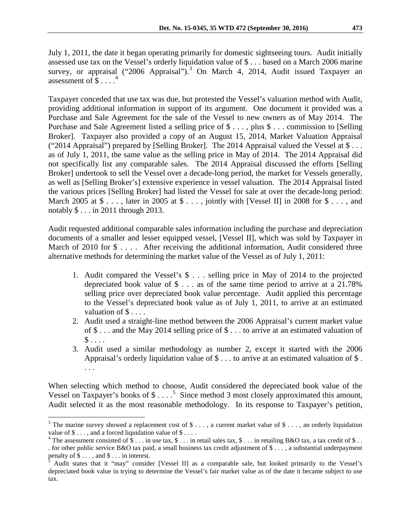July 1, 2011, the date it began operating primarily for domestic sightseeing tours. Audit initially assessed use tax on the Vessel's orderly liquidation value of \$ . . . based on a March 2006 marine survey, or appraisal ("2006 Appraisal").<sup>[3](#page-1-0)</sup> On March 4, 2014, Audit issued Taxpayer an assessment of  $\overline{\$}$ ....<sup>[4](#page-1-1)</sup>

Taxpayer conceded that use tax was due, but protested the Vessel's valuation method with Audit, providing additional information in support of its argument. One document it provided was a Purchase and Sale Agreement for the sale of the Vessel to new owners as of May 2014. The Purchase and Sale Agreement listed a selling price of  $\$\ldots, plus \$ ldots commission to [Selling] Broker]. Taxpayer also provided a copy of an August 15, 2014, Market Valuation Appraisal ("2014 Appraisal") prepared by [Selling Broker]. The 2014 Appraisal valued the Vessel at  $\$\dots$ as of July 1, 2011, the same value as the selling price in May of 2014. The 2014 Appraisal did not specifically list any comparable sales. The 2014 Appraisal discussed the efforts [Selling Broker] undertook to sell the Vessel over a decade-long period, the market for Vessels generally, as well as [Selling Broker's] extensive experience in vessel valuation. The 2014 Appraisal listed the various prices [Selling Broker] had listed the Vessel for sale at over the decade-long period: March 2005 at  $\$\dots$ , later in 2005 at  $\$\dots$ , jointly with [Vessel II] in 2008 for  $\$\dots$ , and notably \$ . . . in 2011 through 2013.

Audit requested additional comparable sales information including the purchase and depreciation documents of a smaller and lesser equipped vessel, [Vessel II], which was sold by Taxpayer in March of 2010 for  $\frac{1}{2}$ .... After receiving the additional information, Audit considered three alternative methods for determining the market value of the Vessel as of July 1, 2011:

- 1. Audit compared the Vessel's \$ . . . selling price in May of 2014 to the projected depreciated book value of \$ . . . as of the same time period to arrive at a 21.78% selling price over depreciated book value percentage. Audit applied this percentage to the Vessel's depreciated book value as of July 1, 2011, to arrive at an estimated valuation of \$ . . . .
- 2. Audit used a straight-line method between the 2006 Appraisal's current market value of \$ . . . and the May 2014 selling price of \$ . . . to arrive at an estimated valuation of  $\$\ldots$  .
- 3. Audit used a similar methodology as number 2, except it started with the 2006 Appraisal's orderly liquidation value of  $\frac{1}{2}$ ... to arrive at an estimated valuation of  $\frac{1}{2}$ . . . .

When selecting which method to choose, Audit considered the depreciated book value of the Vessel on Taxpayer's books of  $\$\ldots$ <sup>[5](#page-1-2)</sup> Since method 3 most closely approximated this amount, Audit selected it as the most reasonable methodology. In its response to Taxpayer's petition,

<span id="page-1-0"></span><sup>&</sup>lt;sup>3</sup> The marine survey showed a replacement cost of \$ . . . , a current market value of \$ . . . , an orderly liquidation value of \$ . . . .

<span id="page-1-1"></span><sup>&</sup>lt;sup>4</sup> The assessment consisted of \$ . . . in use tax, \$ . . . in retail sales tax, \$ . . . in retailing B&O tax, a tax credit of \$ . . . for other public service B&O tax paid, a small business tax credit adjustment of \$ ..., a substantial underpayment penalty of \$ ..., and \$ ... in interest.

<span id="page-1-2"></span>Audit states that it "may" consider [Vessel II] as a comparable sale, but looked primarily to the Vessel's depreciated book value in trying to determine the Vessel's fair market value as of the date it became subject to use tax.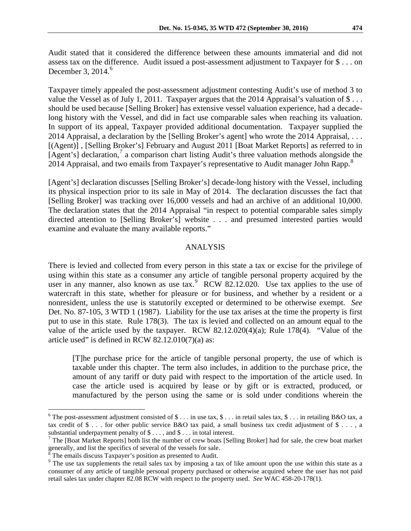Taxpayer timely appealed the post-assessment adjustment contesting Audit's use of method 3 to value the Vessel as of July 1, 2011. Taxpayer argues that the 2014 Appraisal's valuation of \$... should be used because [Selling Broker] has extensive vessel valuation experience, had a decadelong history with the Vessel, and did in fact use comparable sales when reaching its valuation. In support of its appeal, Taxpayer provided additional documentation. Taxpayer supplied the 2014 Appraisal, a declaration by the [Selling Broker's agent] who wrote the 2014 Appraisal, ... [(Agent)] , [Selling Broker's] February and August 2011 [Boat Market Reports] as referred to in [Agent's] declaration, $\frac{7}{1}$  $\frac{7}{1}$  $\frac{7}{1}$  a comparison chart listing Audit's three valuation methods alongside the 2014 Appraisal, and two emails from Taxpayer's representative to Audit manager John Rapp.<sup>[8](#page-2-2)</sup>

[Agent's] declaration discusses [Selling Broker's] decade-long history with the Vessel, including its physical inspection prior to its sale in May of 2014. The declaration discusses the fact that [Selling Broker] was tracking over 16,000 vessels and had an archive of an additional 10,000. The declaration states that the 2014 Appraisal "in respect to potential comparable sales simply directed attention to [Selling Broker's] website . . . and presumed interested parties would examine and evaluate the many available reports."

# ANALYSIS

There is levied and collected from every person in this state a tax or excise for the privilege of using within this state as a consumer any article of tangible personal property acquired by the user in any manner, also known as use tax.<sup>[9](#page-2-3)</sup> RCW 82.12.020. Use tax applies to the use of watercraft in this state, whether for pleasure or for business, and whether by a resident or a nonresident, unless the use is statutorily excepted or determined to be otherwise exempt. *See* Det. No. 87-105, 3 WTD 1 (1987). Liability for the use tax arises at the time the property is first put to use in this state. Rule 178(3). The tax is levied and collected on an amount equal to the value of the article used by the taxpayer. RCW 82.12.020(4)(a); Rule 178(4). "Value of the article used" is defined in RCW  $82.12.010(7)(a)$  as:

[T]he purchase price for the article of tangible personal property, the use of which is taxable under this chapter. The term also includes, in addition to the purchase price, the amount of any tariff or duty paid with respect to the importation of the article used. In case the article used is acquired by lease or by gift or is extracted, produced, or manufactured by the person using the same or is sold under conditions wherein the

<span id="page-2-0"></span><sup>&</sup>lt;sup>6</sup> The post-assessment adjustment consisted of \$ . . . in use tax, \$ . . . in retail sales tax, \$ . . . in retailing B&O tax, a tax credit of  $\$\ldots\$$  for other public service B&O tax paid, a small business tax credit adjustment of  $\$\ldots\$$ 

<span id="page-2-1"></span>substantial underpayment penalty of  $$ \dots$ , and  $$ \dots$  in total interest.<br>
<sup>7</sup> The [Boat Market Reports] both list the number of crew boats [Selling Broker] had for sale, the crew boat market generally, and list the specifi

<span id="page-2-2"></span> $\delta$  The emails discuss Taxpayer's position as presented to Audit.

<span id="page-2-3"></span><sup>&</sup>lt;sup>9</sup> The use tax supplements the retail sales tax by imposing a tax of like amount upon the use within this state as a consumer of any article of tangible personal property purchased or otherwise acquired where the user has not paid retail sales tax under chapter 82.08 RCW with respect to the property used. *See* WAC 458-20-178(1).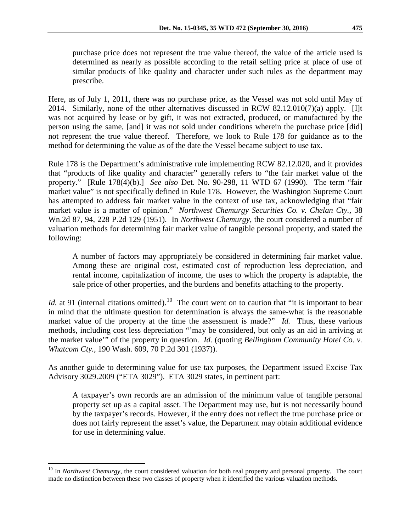purchase price does not represent the true value thereof, the value of the article used is

determined as nearly as possible according to the retail selling price at place of use of similar products of like quality and character under such rules as the department may prescribe.

Here, as of July 1, 2011, there was no purchase price, as the Vessel was not sold until May of 2014. Similarly, none of the other alternatives discussed in RCW 82.12.010(7)(a) apply. [I]t was not acquired by lease or by gift, it was not extracted, produced, or manufactured by the person using the same, [and] it was not sold under conditions wherein the purchase price [did] not represent the true value thereof. Therefore, we look to Rule 178 for guidance as to the method for determining the value as of the date the Vessel became subject to use tax.

Rule 178 is the Department's administrative rule implementing RCW 82.12.020, and it provides that "products of like quality and character" generally refers to "the fair market value of the property." [Rule 178(4)(b).] *See also* Det. No. 90-298, 11 WTD 67 (1990). The term "fair market value" is not specifically defined in Rule 178. However, the Washington Supreme Court has attempted to address fair market value in the context of use tax, acknowledging that "fair market value is a matter of opinion." *Northwest Chemurgy Securities Co. v. Chelan Cty.,* 38 Wn.2d 87, 94, 228 P.2d 129 (1951). In *Northwest Chemurgy*, the court considered a number of valuation methods for determining fair market value of tangible personal property, and stated the following:

A number of factors may appropriately be considered in determining fair market value. Among these are original cost, estimated cost of reproduction less depreciation, and rental income, capitalization of income, the uses to which the property is adaptable, the sale price of other properties, and the burdens and benefits attaching to the property.

*Id.* at 91 (internal citations omitted).<sup>10</sup> The court went on to caution that "it is important to bear in mind that the ultimate question for determination is always the same-what is the reasonable market value of the property at the time the assessment is made?" *Id.* Thus, these various methods, including cost less depreciation "'may be considered, but only as an aid in arriving at the market value'" of the property in question. *Id.* (quoting *Bellingham Community Hotel Co. v. Whatcom Cty.,* 190 Wash. 609, 70 P.2d 301 (1937)).

As another guide to determining value for use tax purposes, the Department issued Excise Tax Advisory 3029.2009 ("ETA 3029"). ETA 3029 states, in pertinent part:

A taxpayer's own records are an admission of the minimum value of tangible personal property set up as a capital asset. The Department may use, but is not necessarily bound by the taxpayer's records. However, if the entry does not reflect the true purchase price or does not fairly represent the asset's value, the Department may obtain additional evidence for use in determining value.

<span id="page-3-0"></span><sup>&</sup>lt;sup>10</sup> In *Northwest Chemurgy*, the court considered valuation for both real property and personal property. The court made no distinction between these two classes of property when it identified the various valuation methods.